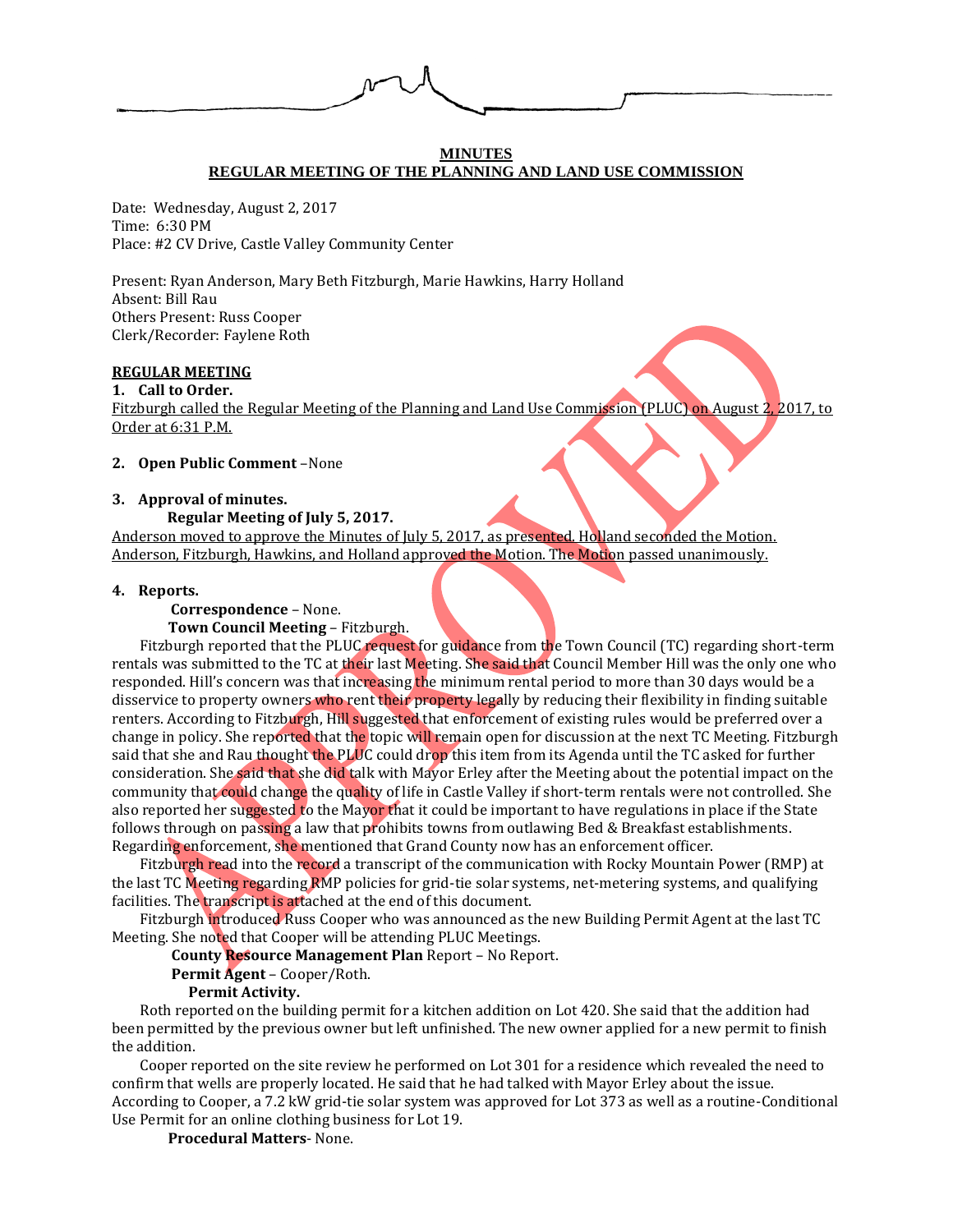

#### **MINUTES REGULAR MEETING OF THE PLANNING AND LAND USE COMMISSION**

Date: Wednesday, August 2, 2017 Time: 6:30 PM Place: #2 CV Drive, Castle Valley Community Center

Present: Ryan Anderson, Mary Beth Fitzburgh, Marie Hawkins, Harry Holland Absent: Bill Rau Others Present: Russ Cooper Clerk/Recorder: Faylene Roth

## **REGULAR MEETING**

**1. Call to Order.**

Fitzburgh called the Regular Meeting of the Planning and Land Use Commission (PLUC) on August 2, 2017, to Order at 6:31 P.M.

#### **2. Open Public Comment** –None

#### **3. Approval of minutes.**

 **Regular Meeting of July 5, 2017.**

Anderson moved to approve the Minutes of July 5, 2017, as presented. Holland seconded the Motion. Anderson, Fitzburgh, Hawkins, and Holland approved the Motion. The Motion passed unanimously.

### **4. Reports.**

 **Correspondence** – None.

**Town Council Meeting** – Fitzburgh.

Fitzburgh reported that the PLUC request for guidance from the Town Council (TC) regarding short-term rentals was submitted to the TC at their last Meeting. She said that Council Member Hill was the only one who responded. Hill's concern was that increasing the minimum rental period to more than 30 days would be a disservice to property owners who rent their property legally by reducing their flexibility in finding suitable renters. According to Fitzburgh, Hill suggested that enforcement of existing rules would be preferred over a change in policy. She reported that the topic will remain open for discussion at the next TC Meeting. Fitzburgh said that she and Rau thought the PLUC could drop this item from its Agenda until the TC asked for further consideration. She said that she did talk with Mayor Erley after the Meeting about the potential impact on the community that could change the quality of life in Castle Valley if short-term rentals were not controlled. She also reported her suggested to the Mayor that it could be important to have regulations in place if the State follows through on passing a law that prohibits towns from outlawing Bed & Breakfast establishments. Regarding enforcement, she mentioned that Grand County now has an enforcement officer.

Fitzburgh read into the record a transcript of the communication with Rocky Mountain Power (RMP) at the last TC Meeting regarding RMP policies for grid-tie solar systems, net-metering systems, and qualifying facilities. The transcript is attached at the end of this document.

Fitzburgh introduced Russ Cooper who was announced as the new Building Permit Agent at the last TC Meeting. She noted that Cooper will be attending PLUC Meetings.

**County Resource Management Plan** Report – No Report.

**Permit Agent** – Cooper/Roth.

### **Permit Activity.**

Roth reported on the building permit for a kitchen addition on Lot 420. She said that the addition had been permitted by the previous owner but left unfinished. The new owner applied for a new permit to finish the addition.

Cooper reported on the site review he performed on Lot 301 for a residence which revealed the need to confirm that wells are properly located. He said that he had talked with Mayor Erley about the issue. According to Cooper, a 7.2 kW grid-tie solar system was approved for Lot 373 as well as a routine-Conditional Use Permit for an online clothing business for Lot 19.

**Procedural Matters**- None.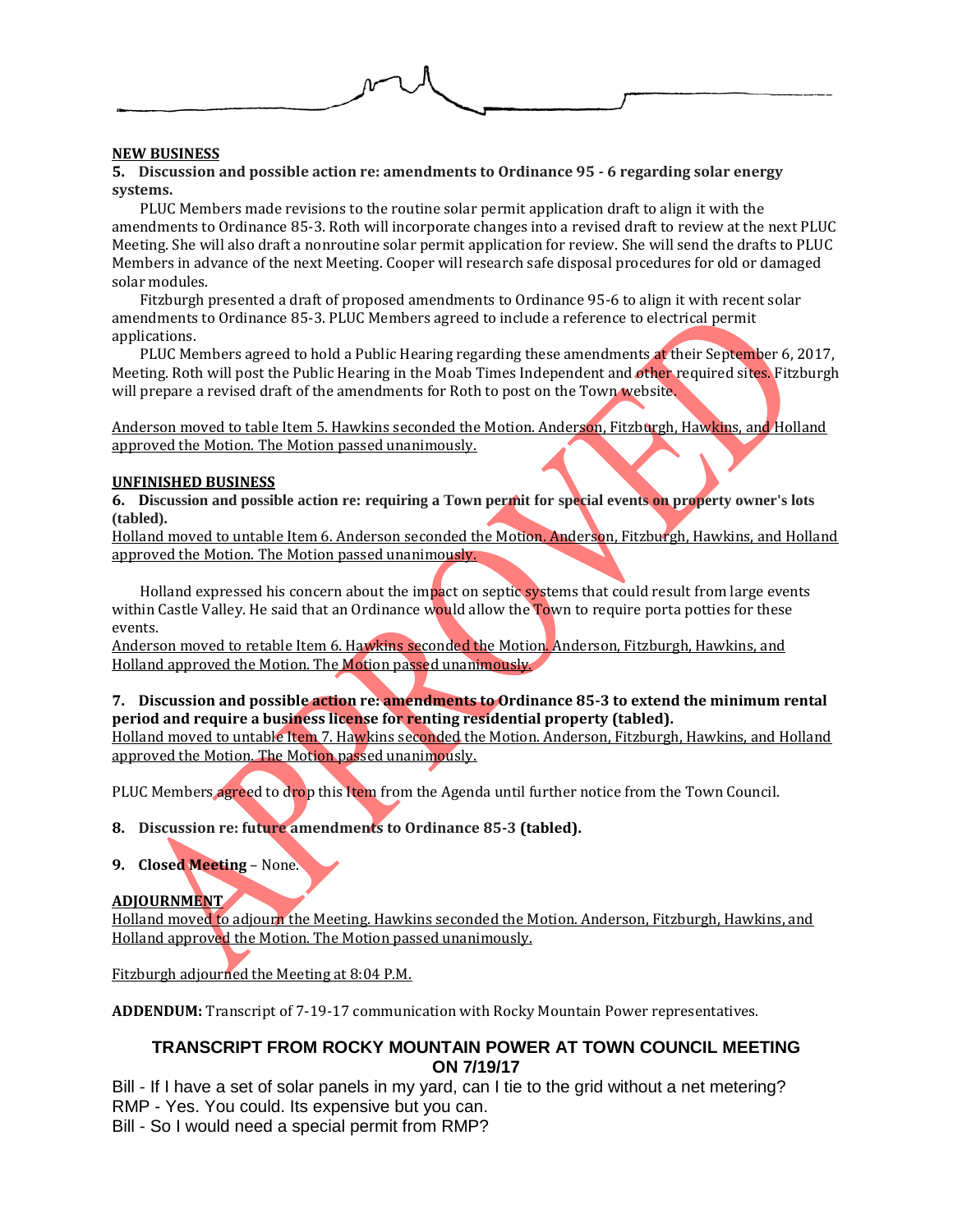

## **NEW BUSINESS**

**5. Discussion and possible action re: amendments to Ordinance 95 - 6 regarding solar energy systems.**

PLUC Members made revisions to the routine solar permit application draft to align it with the amendments to Ordinance 85-3. Roth will incorporate changes into a revised draft to review at the next PLUC Meeting. She will also draft a nonroutine solar permit application for review. She will send the drafts to PLUC Members in advance of the next Meeting. Cooper will research safe disposal procedures for old or damaged solar modules.

Fitzburgh presented a draft of proposed amendments to Ordinance 95-6 to align it with recent solar amendments to Ordinance 85-3. PLUC Members agreed to include a reference to electrical permit applications.

PLUC Members agreed to hold a Public Hearing regarding these amendments at their September 6, 2017, Meeting. Roth will post the Public Hearing in the Moab Times Independent and other required sites. Fitzburgh will prepare a revised draft of the amendments for Roth to post on the Town website.

Anderson moved to table Item 5. Hawkins seconded the Motion. Anderson, Fitzburgh, Hawkins, and Holland approved the Motion. The Motion passed unanimously.

### **UNFINISHED BUSINESS**

**6. Discussion and possible action re: requiring a Town permit for special events on property owner's lots (tabled).**

Holland moved to untable Item 6. Anderson seconded the Motion. Anderson, Fitzburgh, Hawkins, and Holland approved the Motion. The Motion passed unanimously.

Holland expressed his concern about the impact on septic systems that could result from large events within Castle Valley. He said that an Ordinance would allow the Town to require porta potties for these events.

Anderson moved to retable Item 6. Hawkins seconded the Motion. Anderson, Fitzburgh, Hawkins, and Holland approved the Motion. The Motion passed unanimously.

# **7. Discussion and possible action re: amendments to Ordinance 85-3 to extend the minimum rental period and require a business license for renting residential property (tabled).**

Holland moved to untable Item 7. Hawkins seconded the Motion. Anderson, Fitzburgh, Hawkins, and Holland approved the Motion. The Motion passed unanimously.

PLUC Members agreed to drop this Item from the Agenda until further notice from the Town Council.

**8. Discussion re: future amendments to Ordinance 85-3 (tabled).** 

**9. Closed Meeting** – None.

### **ADJOURNMENT**

Holland moved to adjourn the Meeting. Hawkins seconded the Motion. Anderson, Fitzburgh, Hawkins, and Holland approved the Motion. The Motion passed unanimously.

Fitzburgh adjourned the Meeting at 8:04 P.M.

**ADDENDUM:** Transcript of 7-19-17 communication with Rocky Mountain Power representatives.

## **TRANSCRIPT FROM ROCKY MOUNTAIN POWER AT TOWN COUNCIL MEETING ON 7/19/17**

Bill - If I have a set of solar panels in my yard, can I tie to the grid without a net metering? RMP - Yes. You could. Its expensive but you can. Bill - So I would need a special permit from RMP?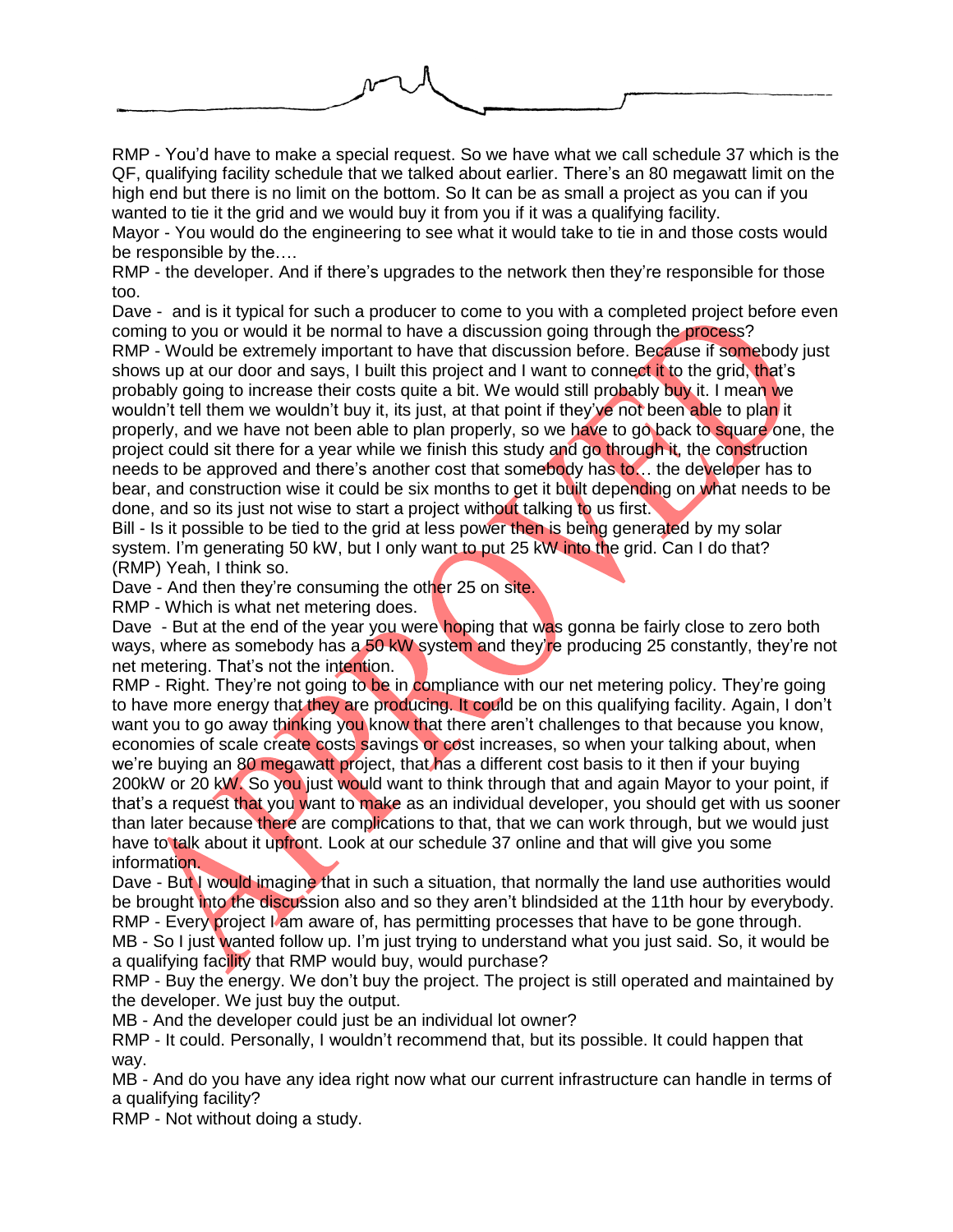RMP - You'd have to make a special request. So we have what we call schedule 37 which is the QF, qualifying facility schedule that we talked about earlier. There's an 80 megawatt limit on the

high end but there is no limit on the bottom. So It can be as small a project as you can if you wanted to tie it the grid and we would buy it from you if it was a qualifying facility.

Mayor - You would do the engineering to see what it would take to tie in and those costs would be responsible by the….

RMP - the developer. And if there's upgrades to the network then they're responsible for those too.

Dave - and is it typical for such a producer to come to you with a completed project before even coming to you or would it be normal to have a discussion going through the process?

RMP - Would be extremely important to have that discussion before. Because if somebody just shows up at our door and says, I built this project and I want to connect it to the grid, that's probably going to increase their costs quite a bit. We would still probably buy it. I mean we wouldn't tell them we wouldn't buy it, its just, at that point if they've not been able to plan it properly, and we have not been able to plan properly, so we have to go back to square one, the project could sit there for a year while we finish this study and go through it, the construction needs to be approved and there's another cost that somebody has to… the developer has to bear, and construction wise it could be six months to get it built depending on what needs to be done, and so its just not wise to start a project without talking to us first.

Bill - Is it possible to be tied to the grid at less power then is being generated by my solar system. I'm generating 50 kW, but I only want to put 25 kW into the grid. Can I do that? (RMP) Yeah, I think so.

Dave - And then they're consuming the other 25 on site.

RMP - Which is what net metering does.

Dave - But at the end of the year you were hoping that was gonna be fairly close to zero both ways, where as somebody has a 50 kW system and they're producing 25 constantly, they're not net metering. That's not the intention.

RMP - Right. They're not going to be in compliance with our net metering policy. They're going to have more energy that they are producing. It could be on this qualifying facility. Again, I don't want you to go away thinking you know that there aren't challenges to that because you know, economies of scale create costs savings or cost increases, so when your talking about, when we're buying an 80 megawatt project, that has a different cost basis to it then if your buying 200kW or 20 kW. So you just would want to think through that and again Mayor to your point, if that's a request that you want to make as an individual developer, you should get with us sooner than later because there are complications to that, that we can work through, but we would just have to talk about it upfront. Look at our schedule 37 online and that will give you some information.

Dave - But I would imagine that in such a situation, that normally the land use authorities would be brought into the discussion also and so they aren't blindsided at the 11th hour by everybody. RMP - Every project I am aware of, has permitting processes that have to be gone through. MB - So I just wanted follow up. I'm just trying to understand what you just said. So, it would be

a qualifying facility that RMP would buy, would purchase?

RMP - Buy the energy. We don't buy the project. The project is still operated and maintained by the developer. We just buy the output.

MB - And the developer could just be an individual lot owner?

RMP - It could. Personally, I wouldn't recommend that, but its possible. It could happen that way.

MB - And do you have any idea right now what our current infrastructure can handle in terms of a qualifying facility?

RMP - Not without doing a study.